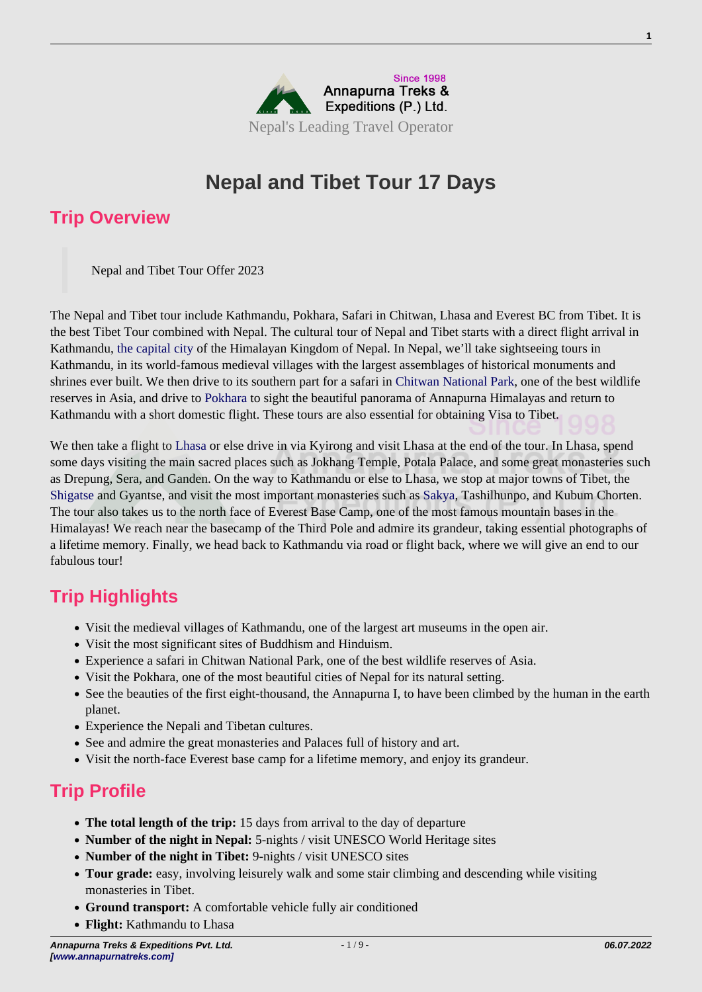

# **Nepal and Tibet Tour 17 Days**

# **Trip Overview**

Nepal and Tibet Tour Offer 2023

The Nepal and Tibet tour include Kathmandu, Pokhara, Safari in Chitwan, Lhasa and Everest BC from Tibet. It is the best Tibet Tour combined with Nepal. The cultural tour of Nepal and Tibet starts with a direct flight arrival in Kathmandu, [the capital city](https://annapurnatreks.com/the-kathmandu-valley/) of the Himalayan Kingdom of Nepal. In Nepal, we'll take sightseeing tours in Kathmandu, in its world-famous medieval villages with the largest assemblages of historical monuments and shrines ever built. We then drive to its southern part for a safari in [Chitwan National Park](http://www.chitwannationalpark.gove.np/), one of the best wildlife reserves in Asia, and drive to [Pokhara](https://annapurnatreks.com/pokhara-city/) to sight the beautiful panorama of Annapurna Himalayas and return to Kathmandu with a short domestic flight. These tours are also essential for obtaining Visa to Tibet.

We then take a flight to [Lhasa](https://annapurnatreks.com/about-lhasa/) or else drive in via Kyirong and visit Lhasa at the end of the tour. In Lhasa, spend some days visiting the main sacred places such as Jokhang Temple, Potala Palace, and some great monasteries such as Drepung, Sera, and Ganden. On the way to Kathmandu or else to Lhasa, we stop at major towns of Tibet, the [Shigatse](https://annapurnatreks.com/shigatse-a-granary-of-tibet/) and Gyantse, and visit the most important monasteries such as [Sakya,](https://annapurnatreks.com/sakya-monastery/) Tashilhunpo, and Kubum Chorten. The tour also takes us to the north face of Everest Base Camp, one of the most famous mountain bases in the Himalayas! We reach near the basecamp of the Third Pole and admire its grandeur, taking essential photographs of a lifetime memory. Finally, we head back to Kathmandu via road or flight back, where we will give an end to our fabulous tour!

# **Trip Highlights**

- Visit the medieval villages of Kathmandu, one of the largest art museums in the open air.
- Visit the most significant sites of Buddhism and Hinduism.
- Experience a safari in Chitwan National Park, one of the best wildlife reserves of Asia.
- Visit the Pokhara, one of the most beautiful cities of Nepal for its natural setting.
- See the beauties of the first eight-thousand, the Annapurna I, to have been climbed by the human in the earth planet.
- Experience the Nepali and Tibetan cultures.
- See and admire the great monasteries and Palaces full of history and art.
- Visit the north-face Everest base camp for a lifetime memory, and enjoy its grandeur.

# **Trip Profile**

- The total length of the trip: 15 days from arrival to the day of departure
- **Number of the night in Nepal:** 5-nights / visit UNESCO World Heritage sites
- **Number of the night in Tibet:** 9-nights / visit UNESCO sites
- **Tour grade:** easy, involving leisurely walk and some stair climbing and descending while visiting monasteries in Tibet.
- **Ground transport:** A comfortable vehicle fully air conditioned
- **Flight:** Kathmandu to Lhasa

**1**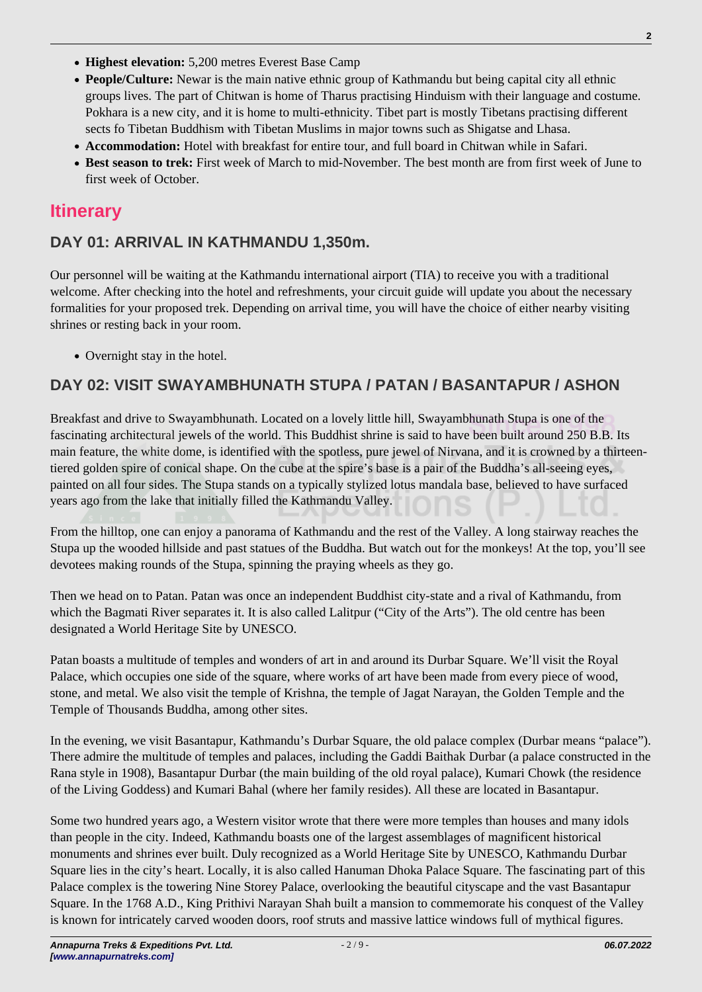- **People/Culture:** Newar is the main native ethnic group of Kathmandu but being capital city all ethnic groups lives. The part of Chitwan is home of Tharus practising Hinduism with their language and costume. Pokhara is a new city, and it is home to multi-ethnicity. Tibet part is mostly Tibetans practising different sects fo Tibetan Buddhism with Tibetan Muslims in major towns such as Shigatse and Lhasa.
- **Accommodation:** Hotel with breakfast for entire tour, and full board in Chitwan while in Safari.
- **Best season to trek:** First week of March to mid-November. The best month are from first week of June to first week of October.

# **Itinerary**

#### **DAY 01: ARRIVAL IN KATHMANDU 1,350m.**

Our personnel will be waiting at the Kathmandu international airport (TIA) to receive you with a traditional welcome. After checking into the hotel and refreshments, your circuit guide will update you about the necessary formalities for your proposed trek. Depending on arrival time, you will have the choice of either nearby visiting shrines or resting back in your room.

• Overnight stay in the hotel.

### **DAY 02: VISIT SWAYAMBHUNATH STUPA / PATAN / BASANTAPUR / ASHON**

Breakfast and drive to Swayambhunath. Located on a lovely little hill, Swayambhunath Stupa is one of the fascinating architectural jewels of the world. This Buddhist shrine is said to have been built around 250 B.B. Its main feature, the white dome, is identified with the spotless, pure jewel of Nirvana, and it is crowned by a thirteentiered golden spire of conical shape. On the cube at the spire's base is a pair of the Buddha's all-seeing eyes, painted on all four sides. The Stupa stands on a typically stylized lotus mandala base, believed to have surfaced years ago from the lake that initially filled the Kathmandu Valley.

From the hilltop, one can enjoy a panorama of Kathmandu and the rest of the Valley. A long stairway reaches the Stupa up the wooded hillside and past statues of the Buddha. But watch out for the monkeys! At the top, you'll see devotees making rounds of the Stupa, spinning the praying wheels as they go.

Then we head on to Patan. Patan was once an independent Buddhist city-state and a rival of Kathmandu, from which the Bagmati River separates it. It is also called Lalitpur ("City of the Arts"). The old centre has been designated a World Heritage Site by UNESCO.

Patan boasts a multitude of temples and wonders of art in and around its Durbar Square. We'll visit the Royal Palace, which occupies one side of the square, where works of art have been made from every piece of wood, stone, and metal. We also visit the temple of Krishna, the temple of Jagat Narayan, the Golden Temple and the Temple of Thousands Buddha, among other sites.

In the evening, we visit Basantapur, Kathmandu's Durbar Square, the old palace complex (Durbar means "palace"). There admire the multitude of temples and palaces, including the Gaddi Baithak Durbar (a palace constructed in the Rana style in 1908), Basantapur Durbar (the main building of the old royal palace), Kumari Chowk (the residence of the Living Goddess) and Kumari Bahal (where her family resides). All these are located in Basantapur.

Some two hundred years ago, a Western visitor wrote that there were more temples than houses and many idols than people in the city. Indeed, Kathmandu boasts one of the largest assemblages of magnificent historical monuments and shrines ever built. Duly recognized as a World Heritage Site by UNESCO, Kathmandu Durbar Square lies in the city's heart. Locally, it is also called Hanuman Dhoka Palace Square. The fascinating part of this Palace complex is the towering Nine Storey Palace, overlooking the beautiful cityscape and the vast Basantapur Square. In the 1768 A.D., King Prithivi Narayan Shah built a mansion to commemorate his conquest of the Valley is known for intricately carved wooden doors, roof struts and massive lattice windows full of mythical figures.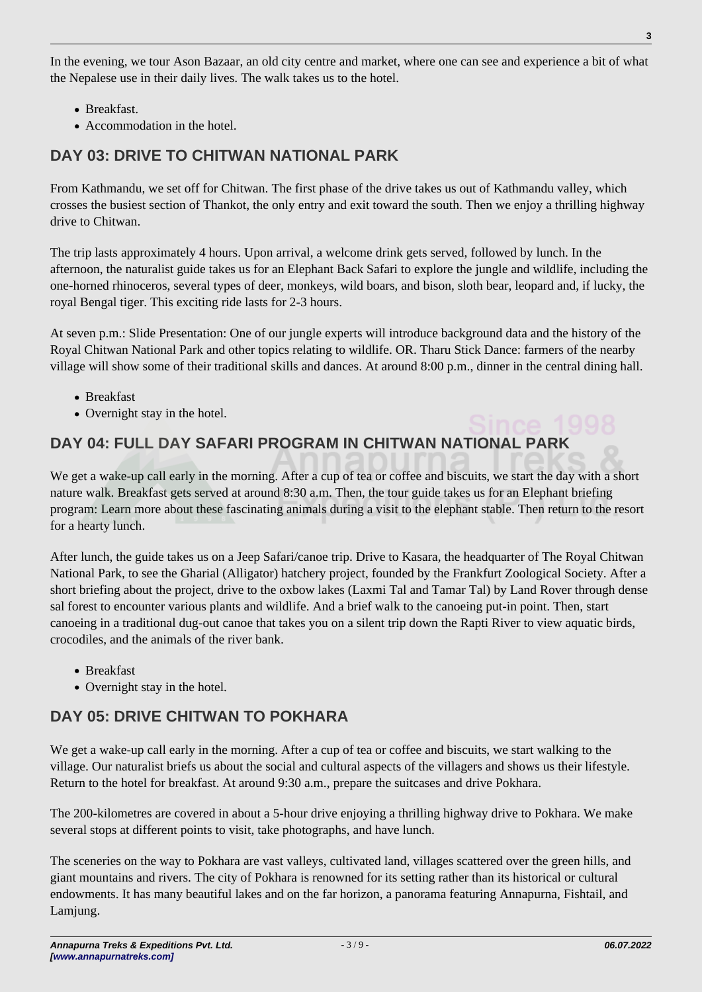In the evening, we tour Ason Bazaar, an old city centre and market, where one can see and experience a bit of what the Nepalese use in their daily lives. The walk takes us to the hotel.

- Breakfast.
- Accommodation in the hotel.

#### **DAY 03: DRIVE TO CHITWAN NATIONAL PARK**

From Kathmandu, we set off for Chitwan. The first phase of the drive takes us out of Kathmandu valley, which crosses the busiest section of Thankot, the only entry and exit toward the south. Then we enjoy a thrilling highway drive to Chitwan.

The trip lasts approximately 4 hours. Upon arrival, a welcome drink gets served, followed by lunch. In the afternoon, the naturalist guide takes us for an Elephant Back Safari to explore the jungle and wildlife, including the one-horned rhinoceros, several types of deer, monkeys, wild boars, and bison, sloth bear, leopard and, if lucky, the royal Bengal tiger. This exciting ride lasts for 2-3 hours.

At seven p.m.: Slide Presentation: One of our jungle experts will introduce background data and the history of the Royal Chitwan National Park and other topics relating to wildlife. OR. Tharu Stick Dance: farmers of the nearby village will show some of their traditional skills and dances. At around 8:00 p.m., dinner in the central dining hall.

- Breakfast
- Overnight stay in the hotel.

#### **DAY 04: FULL DAY SAFARI PROGRAM IN CHITWAN NATIONAL PARK**

We get a wake-up call early in the morning. After a cup of tea or coffee and biscuits, we start the day with a short nature walk. Breakfast gets served at around 8:30 a.m. Then, the tour guide takes us for an Elephant briefing program: Learn more about these fascinating animals during a visit to the elephant stable. Then return to the resort for a hearty lunch.

After lunch, the guide takes us on a Jeep Safari/canoe trip. Drive to Kasara, the headquarter of The Royal Chitwan National Park, to see the Gharial (Alligator) hatchery project, founded by the Frankfurt Zoological Society. After a short briefing about the project, drive to the oxbow lakes (Laxmi Tal and Tamar Tal) by Land Rover through dense sal forest to encounter various plants and wildlife. And a brief walk to the canoeing put-in point. Then, start canoeing in a traditional dug-out canoe that takes you on a silent trip down the Rapti River to view aquatic birds, crocodiles, and the animals of the river bank.

- Breakfast
- Overnight stay in the hotel.

#### **DAY 05: DRIVE CHITWAN TO POKHARA**

We get a wake-up call early in the morning. After a cup of tea or coffee and biscuits, we start walking to the village. Our naturalist briefs us about the social and cultural aspects of the villagers and shows us their lifestyle. Return to the hotel for breakfast. At around 9:30 a.m., prepare the suitcases and drive Pokhara.

The 200-kilometres are covered in about a 5-hour drive enjoying a thrilling highway drive to Pokhara. We make several stops at different points to visit, take photographs, and have lunch.

The sceneries on the way to Pokhara are vast valleys, cultivated land, villages scattered over the green hills, and giant mountains and rivers. The city of Pokhara is renowned for its setting rather than its historical or cultural endowments. It has many beautiful lakes and on the far horizon, a panorama featuring Annapurna, Fishtail, and Lamjung.

**3**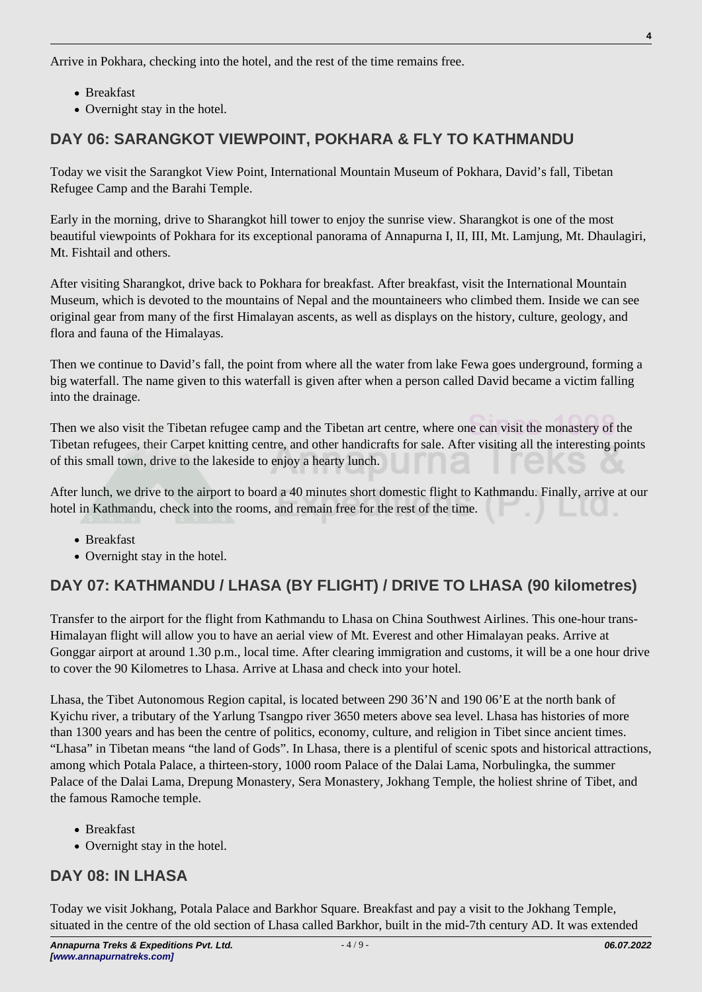Arrive in Pokhara, checking into the hotel, and the rest of the time remains free.

- Breakfast
- Overnight stay in the hotel.

## **DAY 06: SARANGKOT VIEWPOINT, POKHARA & FLY TO KATHMANDU**

Today we visit the Sarangkot View Point, International Mountain Museum of Pokhara, David's fall, Tibetan Refugee Camp and the Barahi Temple.

Early in the morning, drive to Sharangkot hill tower to enjoy the sunrise view. Sharangkot is one of the most beautiful viewpoints of Pokhara for its exceptional panorama of Annapurna I, II, III, Mt. Lamjung, Mt. Dhaulagiri, Mt. Fishtail and others.

After visiting Sharangkot, drive back to Pokhara for breakfast. After breakfast, visit the International Mountain Museum, which is devoted to the mountains of Nepal and the mountaineers who climbed them. Inside we can see original gear from many of the first Himalayan ascents, as well as displays on the history, culture, geology, and flora and fauna of the Himalayas.

Then we continue to David's fall, the point from where all the water from lake Fewa goes underground, forming a big waterfall. The name given to this waterfall is given after when a person called David became a victim falling into the drainage.

Then we also visit the Tibetan refugee camp and the Tibetan art centre, where one can visit the monastery of the Tibetan refugees, their Carpet knitting centre, and other handicrafts for sale. After visiting all the interesting points of this small town, drive to the lakeside to enjoy a hearty lunch.

After lunch, we drive to the airport to board a 40 minutes short domestic flight to Kathmandu. Finally, arrive at our hotel in Kathmandu, check into the rooms, and remain free for the rest of the time.

- Breakfast
- Overnight stay in the hotel.

### **DAY 07: KATHMANDU / LHASA (BY FLIGHT) / DRIVE TO LHASA (90 kilometres)**

Transfer to the airport for the flight from Kathmandu to Lhasa on China Southwest Airlines. This one-hour trans-Himalayan flight will allow you to have an aerial view of Mt. Everest and other Himalayan peaks. Arrive at Gonggar airport at around 1.30 p.m., local time. After clearing immigration and customs, it will be a one hour drive to cover the 90 Kilometres to Lhasa. Arrive at Lhasa and check into your hotel.

Lhasa, the Tibet Autonomous Region capital, is located between 290 36'N and 190 06'E at the north bank of Kyichu river, a tributary of the Yarlung Tsangpo river 3650 meters above sea level. Lhasa has histories of more than 1300 years and has been the centre of politics, economy, culture, and religion in Tibet since ancient times. "Lhasa" in Tibetan means "the land of Gods". In Lhasa, there is a plentiful of scenic spots and historical attractions, among which Potala Palace, a thirteen-story, 1000 room Palace of the Dalai Lama, Norbulingka, the summer Palace of the Dalai Lama, Drepung Monastery, Sera Monastery, Jokhang Temple, the holiest shrine of Tibet, and the famous Ramoche temple.

- Breakfast
- Overnight stay in the hotel.

#### **DAY 08: IN LHASA**

Today we visit Jokhang, Potala Palace and Barkhor Square. Breakfast and pay a visit to the Jokhang Temple, situated in the centre of the old section of Lhasa called Barkhor, built in the mid-7th century AD. It was extended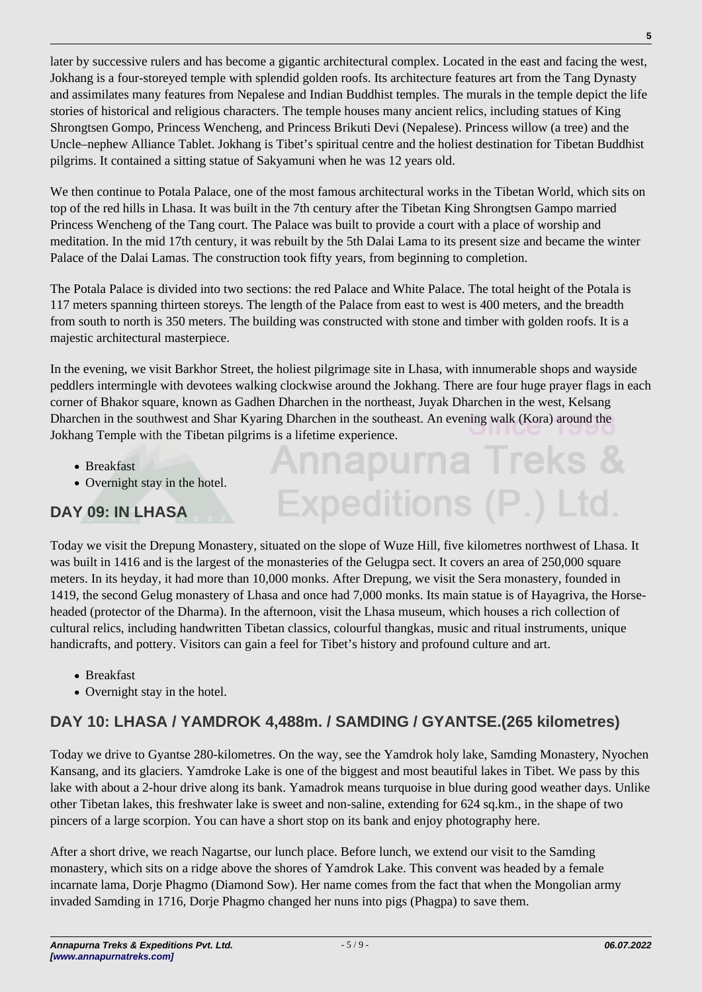later by successive rulers and has become a gigantic architectural complex. Located in the east and facing the west, Jokhang is a four-storeyed temple with splendid golden roofs. Its architecture features art from the Tang Dynasty and assimilates many features from Nepalese and Indian Buddhist temples. The murals in the temple depict the life stories of historical and religious characters. The temple houses many ancient relics, including statues of King Shrongtsen Gompo, Princess Wencheng, and Princess Brikuti Devi (Nepalese). Princess willow (a tree) and the Uncle–nephew Alliance Tablet. Jokhang is Tibet's spiritual centre and the holiest destination for Tibetan Buddhist pilgrims. It contained a sitting statue of Sakyamuni when he was 12 years old.

We then continue to Potala Palace, one of the most famous architectural works in the Tibetan World, which sits on top of the red hills in Lhasa. It was built in the 7th century after the Tibetan King Shrongtsen Gampo married Princess Wencheng of the Tang court. The Palace was built to provide a court with a place of worship and meditation. In the mid 17th century, it was rebuilt by the 5th Dalai Lama to its present size and became the winter Palace of the Dalai Lamas. The construction took fifty years, from beginning to completion.

The Potala Palace is divided into two sections: the red Palace and White Palace. The total height of the Potala is 117 meters spanning thirteen storeys. The length of the Palace from east to west is 400 meters, and the breadth from south to north is 350 meters. The building was constructed with stone and timber with golden roofs. It is a majestic architectural masterpiece.

In the evening, we visit Barkhor Street, the holiest pilgrimage site in Lhasa, with innumerable shops and wayside peddlers intermingle with devotees walking clockwise around the Jokhang. There are four huge prayer flags in each corner of Bhakor square, known as Gadhen Dharchen in the northeast, Juyak Dharchen in the west, Kelsang Dharchen in the southwest and Shar Kyaring Dharchen in the southeast. An evening walk (Kora) around the Jokhang Temple with the Tibetan pilgrims is a lifetime experience.

**\nnapurna Treks &** 

Expeditions (P.) Ltd.

- Breakfast
- Overnight stay in the hotel.

#### **DAY 09: IN LHASA**

Today we visit the Drepung Monastery, situated on the slope of Wuze Hill, five kilometres northwest of Lhasa. It was built in 1416 and is the largest of the monasteries of the Gelugpa sect. It covers an area of 250,000 square meters. In its heyday, it had more than 10,000 monks. After Drepung, we visit the Sera monastery, founded in 1419, the second Gelug monastery of Lhasa and once had 7,000 monks. Its main statue is of Hayagriva, the Horseheaded (protector of the Dharma). In the afternoon, visit the Lhasa museum, which houses a rich collection of cultural relics, including handwritten Tibetan classics, colourful thangkas, music and ritual instruments, unique handicrafts, and pottery. Visitors can gain a feel for Tibet's history and profound culture and art.

- Breakfast
- Overnight stay in the hotel.

#### **DAY 10: LHASA / YAMDROK 4,488m. / SAMDING / GYANTSE.(265 kilometres)**

Today we drive to Gyantse 280-kilometres. On the way, see the Yamdrok holy lake, Samding Monastery, Nyochen Kansang, and its glaciers. Yamdroke Lake is one of the biggest and most beautiful lakes in Tibet. We pass by this lake with about a 2-hour drive along its bank. Yamadrok means turquoise in blue during good weather days. Unlike other Tibetan lakes, this freshwater lake is sweet and non-saline, extending for 624 sq.km., in the shape of two pincers of a large scorpion. You can have a short stop on its bank and enjoy photography here.

After a short drive, we reach Nagartse, our lunch place. Before lunch, we extend our visit to the Samding monastery, which sits on a ridge above the shores of Yamdrok Lake. This convent was headed by a female incarnate lama, Dorje Phagmo (Diamond Sow). Her name comes from the fact that when the Mongolian army invaded Samding in 1716, Dorje Phagmo changed her nuns into pigs (Phagpa) to save them.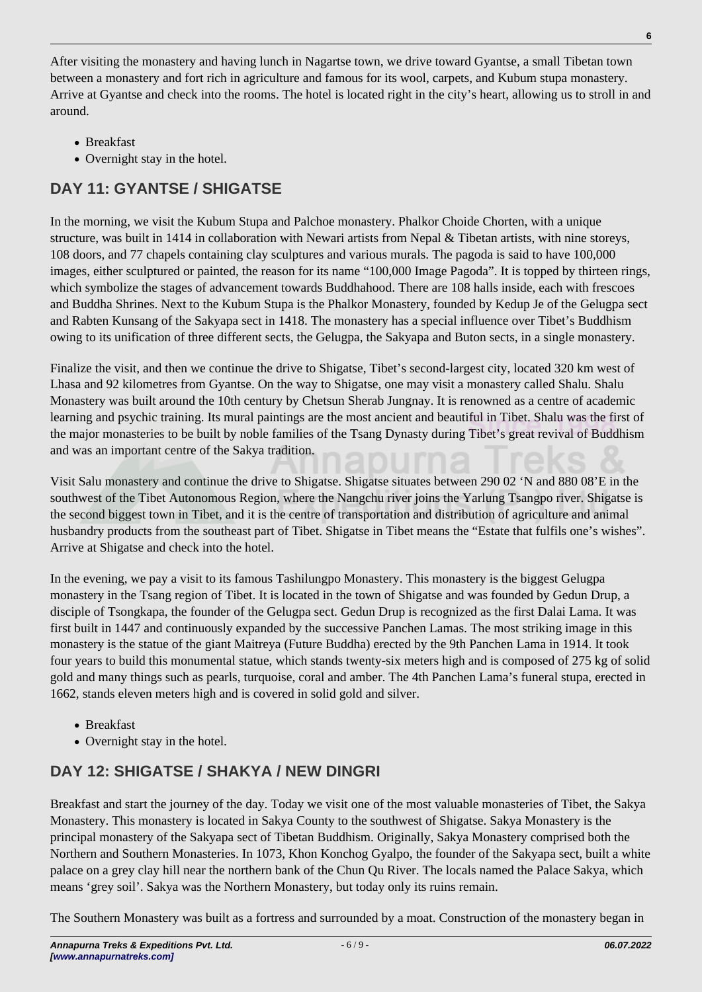After visiting the monastery and having lunch in Nagartse town, we drive toward Gyantse, a small Tibetan town between a monastery and fort rich in agriculture and famous for its wool, carpets, and Kubum stupa monastery. Arrive at Gyantse and check into the rooms. The hotel is located right in the city's heart, allowing us to stroll in and around.

- Breakfast
- Overnight stay in the hotel.

# **DAY 11: GYANTSE / SHIGATSE**

In the morning, we visit the Kubum Stupa and Palchoe monastery. Phalkor Choide Chorten, with a unique structure, was built in 1414 in collaboration with Newari artists from Nepal & Tibetan artists, with nine storeys, 108 doors, and 77 chapels containing clay sculptures and various murals. The pagoda is said to have 100,000 images, either sculptured or painted, the reason for its name "100,000 Image Pagoda". It is topped by thirteen rings, which symbolize the stages of advancement towards Buddhahood. There are 108 halls inside, each with frescoes and Buddha Shrines. Next to the Kubum Stupa is the Phalkor Monastery, founded by Kedup Je of the Gelugpa sect and Rabten Kunsang of the Sakyapa sect in 1418. The monastery has a special influence over Tibet's Buddhism owing to its unification of three different sects, the Gelugpa, the Sakyapa and Buton sects, in a single monastery.

Finalize the visit, and then we continue the drive to Shigatse, Tibet's second-largest city, located 320 km west of Lhasa and 92 kilometres from Gyantse. On the way to Shigatse, one may visit a monastery called Shalu. Shalu Monastery was built around the 10th century by Chetsun Sherab Jungnay. It is renowned as a centre of academic learning and psychic training. Its mural paintings are the most ancient and beautiful in Tibet. Shalu was the first of the major monasteries to be built by noble families of the Tsang Dynasty during Tibet's great revival of Buddhism and was an important centre of the Sakya tradition.

Visit Salu monastery and continue the drive to Shigatse. Shigatse situates between 290 02 'N and 880 08'E in the southwest of the Tibet Autonomous Region, where the Nangchu river joins the Yarlung Tsangpo river. Shigatse is the second biggest town in Tibet, and it is the centre of transportation and distribution of agriculture and animal husbandry products from the southeast part of Tibet. Shigatse in Tibet means the "Estate that fulfils one's wishes". Arrive at Shigatse and check into the hotel.

In the evening, we pay a visit to its famous Tashilungpo Monastery. This monastery is the biggest Gelugpa monastery in the Tsang region of Tibet. It is located in the town of Shigatse and was founded by Gedun Drup, a disciple of Tsongkapa, the founder of the Gelugpa sect. Gedun Drup is recognized as the first Dalai Lama. It was first built in 1447 and continuously expanded by the successive Panchen Lamas. The most striking image in this monastery is the statue of the giant Maitreya (Future Buddha) erected by the 9th Panchen Lama in 1914. It took four years to build this monumental statue, which stands twenty-six meters high and is composed of 275 kg of solid gold and many things such as pearls, turquoise, coral and amber. The 4th Panchen Lama's funeral stupa, erected in 1662, stands eleven meters high and is covered in solid gold and silver.

- Breakfast
- Overnight stay in the hotel.

#### **DAY 12: SHIGATSE / SHAKYA / NEW DINGRI**

Breakfast and start the journey of the day. Today we visit one of the most valuable monasteries of Tibet, the Sakya Monastery. This monastery is located in Sakya County to the southwest of Shigatse. Sakya Monastery is the principal monastery of the Sakyapa sect of Tibetan Buddhism. Originally, Sakya Monastery comprised both the Northern and Southern Monasteries. In 1073, Khon Konchog Gyalpo, the founder of the Sakyapa sect, built a white palace on a grey clay hill near the northern bank of the Chun Qu River. The locals named the Palace Sakya, which means 'grey soil'. Sakya was the Northern Monastery, but today only its ruins remain.

The Southern Monastery was built as a fortress and surrounded by a moat. Construction of the monastery began in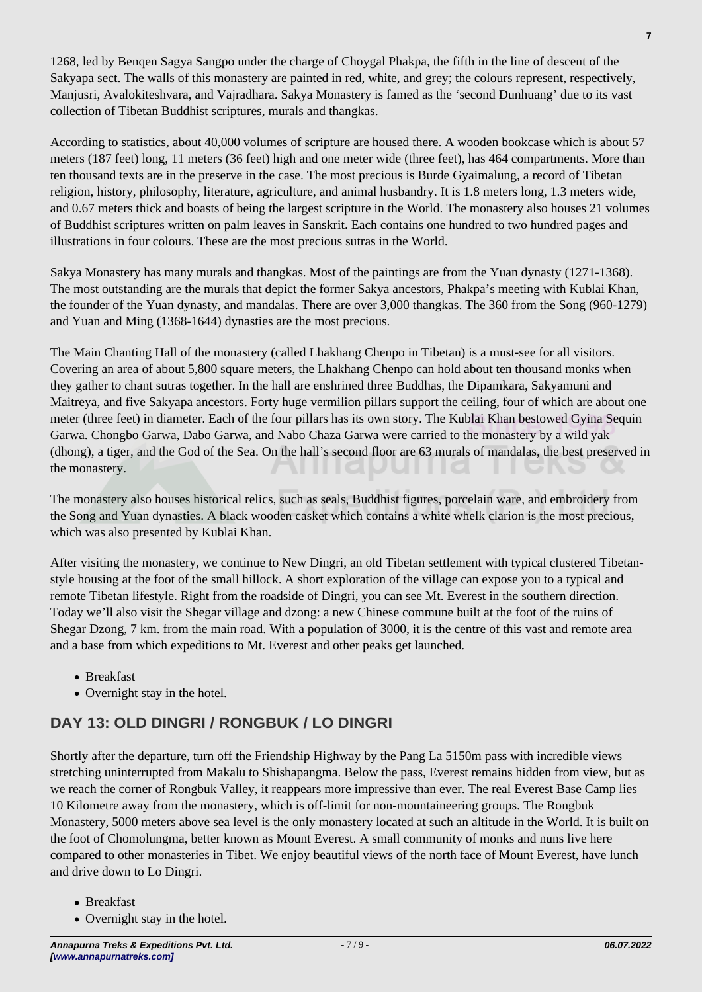1268, led by Benqen Sagya Sangpo under the charge of Choygal Phakpa, the fifth in the line of descent of the Sakyapa sect. The walls of this monastery are painted in red, white, and grey; the colours represent, respectively, Manjusri, Avalokiteshvara, and Vajradhara. Sakya Monastery is famed as the 'second Dunhuang' due to its vast collection of Tibetan Buddhist scriptures, murals and thangkas.

According to statistics, about 40,000 volumes of scripture are housed there. A wooden bookcase which is about 57 meters (187 feet) long, 11 meters (36 feet) high and one meter wide (three feet), has 464 compartments. More than ten thousand texts are in the preserve in the case. The most precious is Burde Gyaimalung, a record of Tibetan religion, history, philosophy, literature, agriculture, and animal husbandry. It is 1.8 meters long, 1.3 meters wide, and 0.67 meters thick and boasts of being the largest scripture in the World. The monastery also houses 21 volumes of Buddhist scriptures written on palm leaves in Sanskrit. Each contains one hundred to two hundred pages and illustrations in four colours. These are the most precious sutras in the World.

Sakya Monastery has many murals and thangkas. Most of the paintings are from the Yuan dynasty (1271-1368). The most outstanding are the murals that depict the former Sakya ancestors, Phakpa's meeting with Kublai Khan, the founder of the Yuan dynasty, and mandalas. There are over 3,000 thangkas. The 360 from the Song (960-1279) and Yuan and Ming (1368-1644) dynasties are the most precious.

The Main Chanting Hall of the monastery (called Lhakhang Chenpo in Tibetan) is a must-see for all visitors. Covering an area of about 5,800 square meters, the Lhakhang Chenpo can hold about ten thousand monks when they gather to chant sutras together. In the hall are enshrined three Buddhas, the Dipamkara, Sakyamuni and Maitreya, and five Sakyapa ancestors. Forty huge vermilion pillars support the ceiling, four of which are about one meter (three feet) in diameter. Each of the four pillars has its own story. The Kublai Khan bestowed Gyina Sequin Garwa. Chongbo Garwa, Dabo Garwa, and Nabo Chaza Garwa were carried to the monastery by a wild yak (dhong), a tiger, and the God of the Sea. On the hall's second floor are 63 murals of mandalas, the best preserved in the monastery.

The monastery also houses historical relics, such as seals, Buddhist figures, porcelain ware, and embroidery from the Song and Yuan dynasties. A black wooden casket which contains a white whelk clarion is the most precious, which was also presented by Kublai Khan.

After visiting the monastery, we continue to New Dingri, an old Tibetan settlement with typical clustered Tibetanstyle housing at the foot of the small hillock. A short exploration of the village can expose you to a typical and remote Tibetan lifestyle. Right from the roadside of Dingri, you can see Mt. Everest in the southern direction. Today we'll also visit the Shegar village and dzong: a new Chinese commune built at the foot of the ruins of Shegar Dzong, 7 km. from the main road. With a population of 3000, it is the centre of this vast and remote area and a base from which expeditions to Mt. Everest and other peaks get launched.

- Breakfast
- Overnight stay in the hotel.

#### **DAY 13: OLD DINGRI / RONGBUK / LO DINGRI**

Shortly after the departure, turn off the Friendship Highway by the Pang La 5150m pass with incredible views stretching uninterrupted from Makalu to Shishapangma. Below the pass, Everest remains hidden from view, but as we reach the corner of Rongbuk Valley, it reappears more impressive than ever. The real Everest Base Camp lies 10 Kilometre away from the monastery, which is off-limit for non-mountaineering groups. The Rongbuk Monastery, 5000 meters above sea level is the only monastery located at such an altitude in the World. It is built on the foot of Chomolungma, better known as Mount Everest. A small community of monks and nuns live here compared to other monasteries in Tibet. We enjoy beautiful views of the north face of Mount Everest, have lunch and drive down to Lo Dingri.

- Breakfast
- Overnight stay in the hotel.

**7**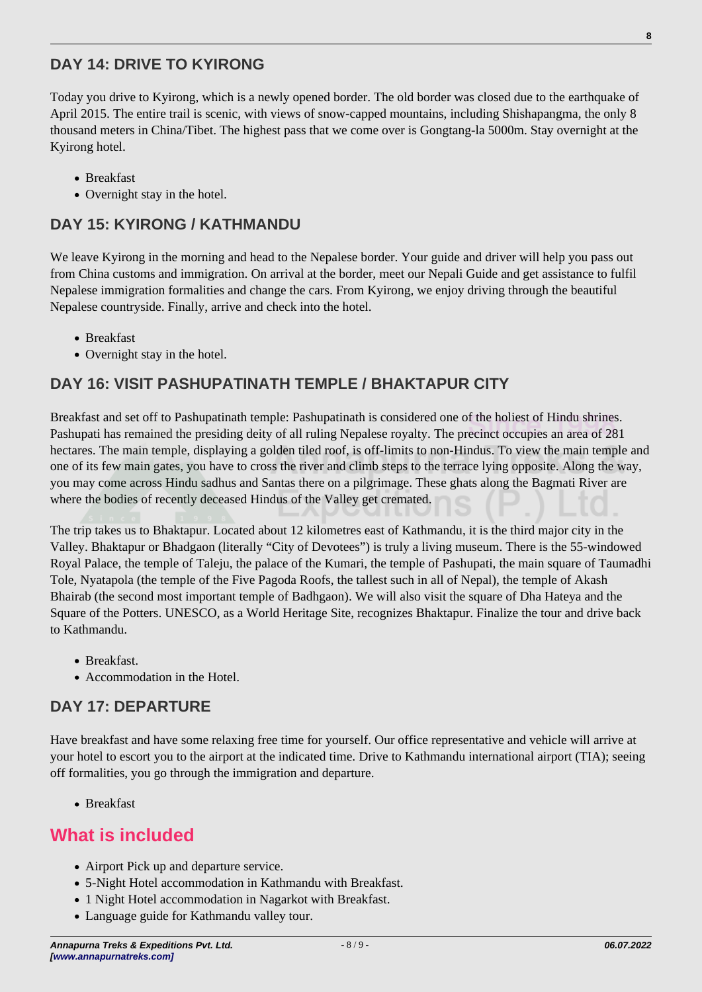#### **DAY 14: DRIVE TO KYIRONG**

Today you drive to Kyirong, which is a newly opened border. The old border was closed due to the earthquake of April 2015. The entire trail is scenic, with views of snow-capped mountains, including Shishapangma, the only 8 thousand meters in China/Tibet. The highest pass that we come over is Gongtang-la 5000m. Stay overnight at the Kyirong hotel.

- Breakfast
- Overnight stay in the hotel.

#### **DAY 15: KYIRONG / KATHMANDU**

We leave Kyirong in the morning and head to the Nepalese border. Your guide and driver will help you pass out from China customs and immigration. On arrival at the border, meet our Nepali Guide and get assistance to fulfil Nepalese immigration formalities and change the cars. From Kyirong, we enjoy driving through the beautiful Nepalese countryside. Finally, arrive and check into the hotel.

- Breakfast
- Overnight stay in the hotel.

#### **DAY 16: VISIT PASHUPATINATH TEMPLE / BHAKTAPUR CITY**

Breakfast and set off to Pashupatinath temple: Pashupatinath is considered one of the holiest of Hindu shrines. Pashupati has remained the presiding deity of all ruling Nepalese royalty. The precinct occupies an area of 281 hectares. The main temple, displaying a golden tiled roof, is off-limits to non-Hindus. To view the main temple and one of its few main gates, you have to cross the river and climb steps to the terrace lying opposite. Along the way, you may come across Hindu sadhus and Santas there on a pilgrimage. These ghats along the Bagmati River are where the bodies of recently deceased Hindus of the Valley get cremated.

The trip takes us to Bhaktapur. Located about 12 kilometres east of Kathmandu, it is the third major city in the Valley. Bhaktapur or Bhadgaon (literally "City of Devotees") is truly a living museum. There is the 55-windowed Royal Palace, the temple of Taleju, the palace of the Kumari, the temple of Pashupati, the main square of Taumadhi Tole, Nyatapola (the temple of the Five Pagoda Roofs, the tallest such in all of Nepal), the temple of Akash Bhairab (the second most important temple of Badhgaon). We will also visit the square of Dha Hateya and the Square of the Potters. UNESCO, as a World Heritage Site, recognizes Bhaktapur. Finalize the tour and drive back to Kathmandu.

- Breakfast.
- Accommodation in the Hotel.

#### **DAY 17: DEPARTURE**

Have breakfast and have some relaxing free time for yourself. Our office representative and vehicle will arrive at your hotel to escort you to the airport at the indicated time. Drive to Kathmandu international airport (TIA); seeing off formalities, you go through the immigration and departure.

• Breakfast

### **What is included**

- Airport Pick up and departure service.
- 5-Night Hotel accommodation in Kathmandu with Breakfast.
- 1 Night Hotel accommodation in Nagarkot with Breakfast.
- Language guide for Kathmandu valley tour.